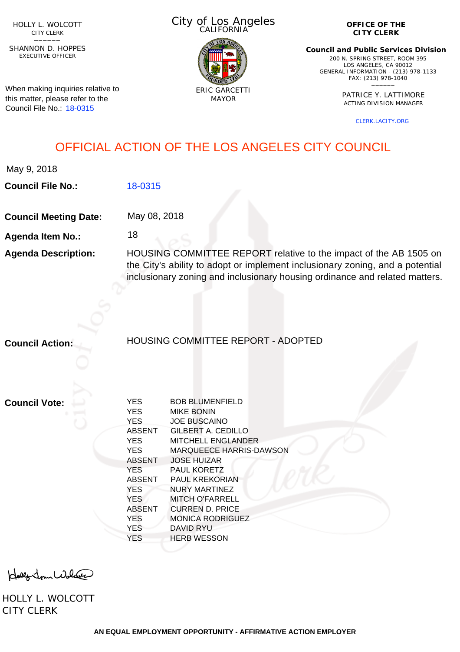HOLLY L. WOLCOTT CITY CLERK<br>—————

EXECUTIVE OFFICER SHANNON D. HOPPES

When making inquiries relative to this matter, please refer to the Council File No.: [18-0315](http://cityclerk.lacity.org/lacityclerkconnect/index.cfm?fa=ccfi.viewrecord&cfnumber=18-0315)

City of Los Angeles CALIFORNIA



**OFFICE OF THE CITY CLERK**

**Council and Public Services Division** 200 N. SPRING STREET, ROOM 395 LOS ANGELES, CA 90012 GENERAL INFORMATION - (213) 978-1133 FAX: (213) 978-1040 \_\_\_\_\_\_

> PATRICE Y. LATTIMORE ACTING DIVISION MANAGER

> > [CLERK.LACITY.ORG](http://clerk.lacity.org)

## OFFICIAL ACTION OF THE LOS ANGELES CITY COUNCIL

|  | May 9, 2018 |
|--|-------------|
|--|-------------|

**Council File No.:** [18-0315](http://cityclerk.lacity.org/lacityclerkconnect/index.cfm?fa=ccfi.viewrecord&cfnumber=18-0315)

**Council Meeting Date:** May 08, 2018

18

**Agenda Item No.:**

**Agenda Description:** HOUSING COMMITTEE REPORT relative to the impact of the AB 1505 on the City's ability to adopt or implement inclusionary zoning, and a potential inclusionary zoning and inclusionary housing ordinance and related matters.

**Council Action:**

HOUSING COMMITTEE REPORT - ADOPTED

**Council Vote:**

| <b>YES</b>    | <b>BOB BLUMENFIELD</b>         |
|---------------|--------------------------------|
| <b>YES</b>    | <b>MIKE BONIN</b>              |
| <b>YES</b>    | <b>JOE BUSCAINO</b>            |
| <b>ABSENT</b> | GILBERT A. CEDILLO             |
| <b>YES</b>    | <b>MITCHELL ENGLANDER</b>      |
| <b>YES</b>    | <b>MARQUEECE HARRIS-DAWSON</b> |
| <b>ABSENT</b> | <b>JOSE HUIZAR</b>             |
| <b>YES</b>    | <b>PAUL KORETZ</b>             |
| <b>ABSENT</b> | <b>PAUL KREKORIAN</b>          |
| <b>YES</b>    | <b>NURY MARTINEZ</b>           |
| <b>YES</b>    | <b>MITCH O'FARRELL</b>         |
| <b>ABSENT</b> | <b>CURREN D. PRICE</b>         |
| <b>YES</b>    | <b>MONICA RODRIGUEZ</b>        |
| <b>YES</b>    | <b>DAVID RYU</b>               |
| YES           | <b>HERB WESSON</b>             |
|               |                                |

Holly Jour Wolfer

HOLLY L. WOLCOTT CITY CLERK